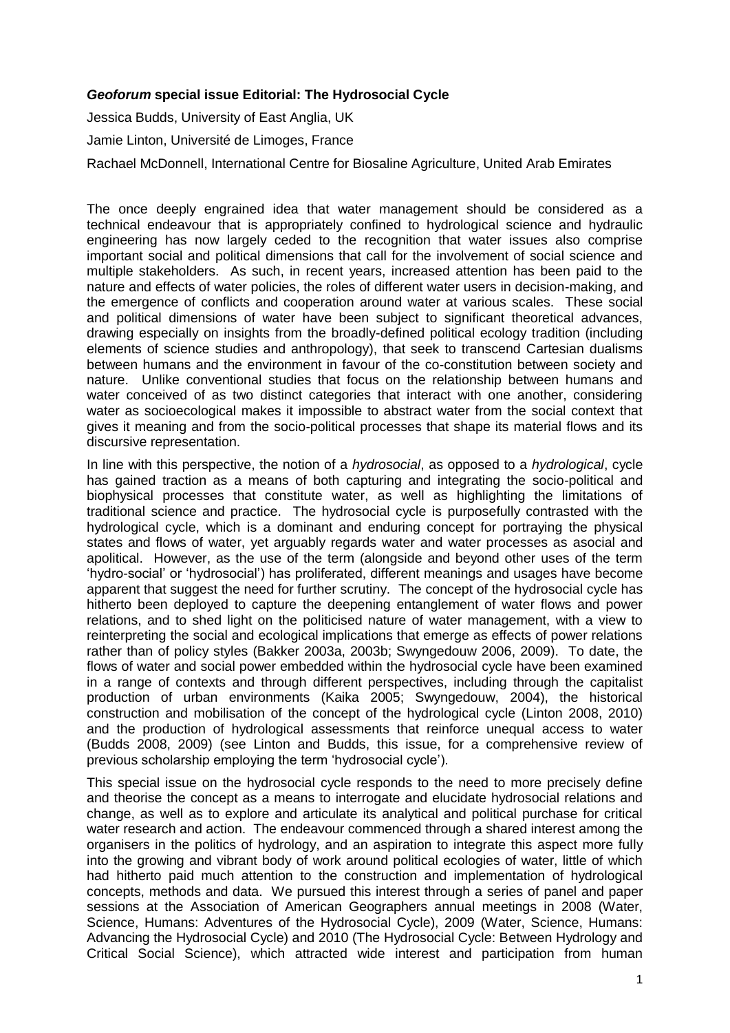## *Geoforum* **special issue Editorial: The Hydrosocial Cycle**

Jessica Budds, University of East Anglia, UK Jamie Linton, Université de Limoges, France Rachael McDonnell, International Centre for Biosaline Agriculture, United Arab Emirates

The once deeply engrained idea that water management should be considered as a technical endeavour that is appropriately confined to hydrological science and hydraulic engineering has now largely ceded to the recognition that water issues also comprise important social and political dimensions that call for the involvement of social science and multiple stakeholders. As such, in recent years, increased attention has been paid to the nature and effects of water policies, the roles of different water users in decision-making, and the emergence of conflicts and cooperation around water at various scales. These social and political dimensions of water have been subject to significant theoretical advances, drawing especially on insights from the broadly-defined political ecology tradition (including elements of science studies and anthropology), that seek to transcend Cartesian dualisms between humans and the environment in favour of the co-constitution between society and nature. Unlike conventional studies that focus on the relationship between humans and water conceived of as two distinct categories that interact with one another, considering water as socioecological makes it impossible to abstract water from the social context that gives it meaning and from the socio-political processes that shape its material flows and its discursive representation.

In line with this perspective, the notion of a *hydrosocial*, as opposed to a *hydrological*, cycle has gained traction as a means of both capturing and integrating the socio-political and biophysical processes that constitute water, as well as highlighting the limitations of traditional science and practice. The hydrosocial cycle is purposefully contrasted with the hydrological cycle, which is a dominant and enduring concept for portraying the physical states and flows of water, yet arguably regards water and water processes as asocial and apolitical. However, as the use of the term (alongside and beyond other uses of the term 'hydro-social' or 'hydrosocial') has proliferated, different meanings and usages have become apparent that suggest the need for further scrutiny. The concept of the hydrosocial cycle has hitherto been deployed to capture the deepening entanglement of water flows and power relations, and to shed light on the politicised nature of water management, with a view to reinterpreting the social and ecological implications that emerge as effects of power relations rather than of policy styles (Bakker 2003a, 2003b; Swyngedouw 2006, 2009). To date, the flows of water and social power embedded within the hydrosocial cycle have been examined in a range of contexts and through different perspectives, including through the capitalist production of urban environments (Kaika 2005; Swyngedouw, 2004), the historical construction and mobilisation of the concept of the hydrological cycle (Linton 2008, 2010) and the production of hydrological assessments that reinforce unequal access to water (Budds 2008, 2009) (see Linton and Budds, this issue, for a comprehensive review of previous scholarship employing the term 'hydrosocial cycle').

This special issue on the hydrosocial cycle responds to the need to more precisely define and theorise the concept as a means to interrogate and elucidate hydrosocial relations and change, as well as to explore and articulate its analytical and political purchase for critical water research and action. The endeavour commenced through a shared interest among the organisers in the politics of hydrology, and an aspiration to integrate this aspect more fully into the growing and vibrant body of work around political ecologies of water, little of which had hitherto paid much attention to the construction and implementation of hydrological concepts, methods and data. We pursued this interest through a series of panel and paper sessions at the Association of American Geographers annual meetings in 2008 (Water, Science, Humans: Adventures of the Hydrosocial Cycle), 2009 (Water, Science, Humans: Advancing the Hydrosocial Cycle) and 2010 (The Hydrosocial Cycle: Between Hydrology and Critical Social Science), which attracted wide interest and participation from human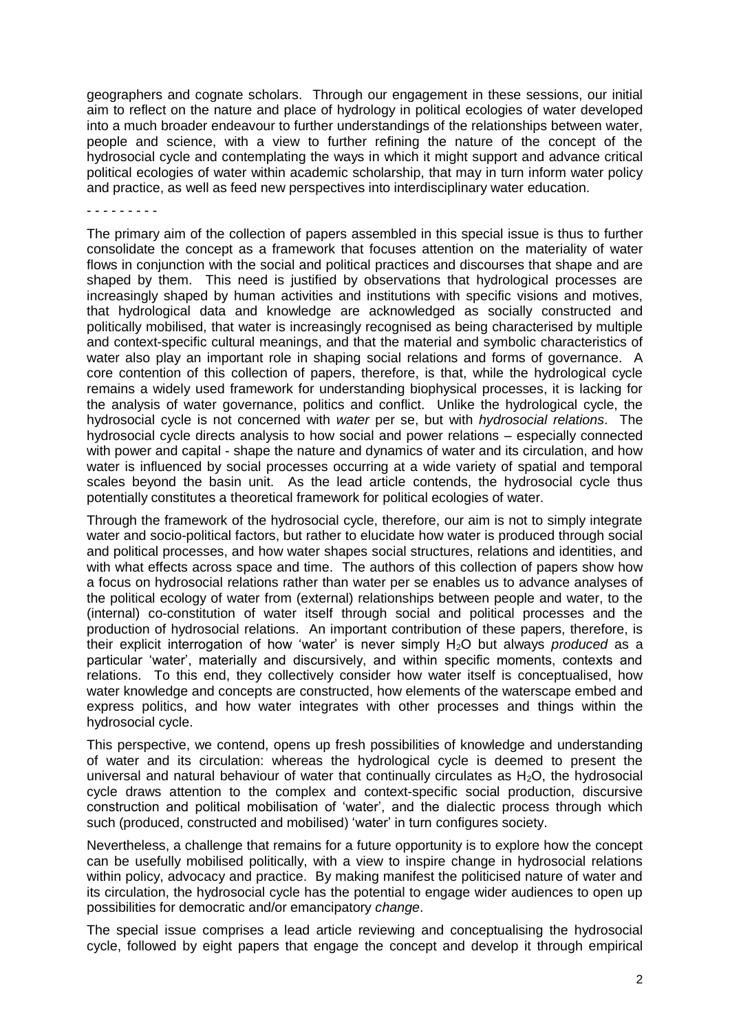geographers and cognate scholars. Through our engagement in these sessions, our initial aim to reflect on the nature and place of hydrology in political ecologies of water developed into a much broader endeavour to further understandings of the relationships between water, people and science, with a view to further refining the nature of the concept of the hydrosocial cycle and contemplating the ways in which it might support and advance critical political ecologies of water within academic scholarship, that may in turn inform water policy and practice, as well as feed new perspectives into interdisciplinary water education.

- - - - - - - - -

The primary aim of the collection of papers assembled in this special issue is thus to further consolidate the concept as a framework that focuses attention on the materiality of water flows in conjunction with the social and political practices and discourses that shape and are shaped by them. This need is justified by observations that hydrological processes are increasingly shaped by human activities and institutions with specific visions and motives, that hydrological data and knowledge are acknowledged as socially constructed and politically mobilised, that water is increasingly recognised as being characterised by multiple and context-specific cultural meanings, and that the material and symbolic characteristics of water also play an important role in shaping social relations and forms of governance. A core contention of this collection of papers, therefore, is that, while the hydrological cycle remains a widely used framework for understanding biophysical processes, it is lacking for the analysis of water governance, politics and conflict. Unlike the hydrological cycle, the hydrosocial cycle is not concerned with *water* per se, but with *hydrosocial relations*. The hydrosocial cycle directs analysis to how social and power relations – especially connected with power and capital - shape the nature and dynamics of water and its circulation, and how water is influenced by social processes occurring at a wide variety of spatial and temporal scales beyond the basin unit. As the lead article contends, the hydrosocial cycle thus potentially constitutes a theoretical framework for political ecologies of water.

Through the framework of the hydrosocial cycle, therefore, our aim is not to simply integrate water and socio-political factors, but rather to elucidate how water is produced through social and political processes, and how water shapes social structures, relations and identities, and with what effects across space and time. The authors of this collection of papers show how a focus on hydrosocial relations rather than water per se enables us to advance analyses of the political ecology of water from (external) relationships between people and water, to the (internal) co-constitution of water itself through social and political processes and the production of hydrosocial relations. An important contribution of these papers, therefore, is their explicit interrogation of how 'water' is never simply H2O but always *produced* as a particular 'water', materially and discursively, and within specific moments, contexts and relations. To this end, they collectively consider how water itself is conceptualised, how water knowledge and concepts are constructed, how elements of the waterscape embed and express politics, and how water integrates with other processes and things within the hydrosocial cycle.

This perspective, we contend, opens up fresh possibilities of knowledge and understanding of water and its circulation: whereas the hydrological cycle is deemed to present the universal and natural behaviour of water that continually circulates as  $H_2O$ , the hydrosocial cycle draws attention to the complex and context-specific social production, discursive construction and political mobilisation of 'water', and the dialectic process through which such (produced, constructed and mobilised) 'water' in turn configures society.

Nevertheless, a challenge that remains for a future opportunity is to explore how the concept can be usefully mobilised politically, with a view to inspire change in hydrosocial relations within policy, advocacy and practice. By making manifest the politicised nature of water and its circulation, the hydrosocial cycle has the potential to engage wider audiences to open up possibilities for democratic and/or emancipatory *change*.

The special issue comprises a lead article reviewing and conceptualising the hydrosocial cycle, followed by eight papers that engage the concept and develop it through empirical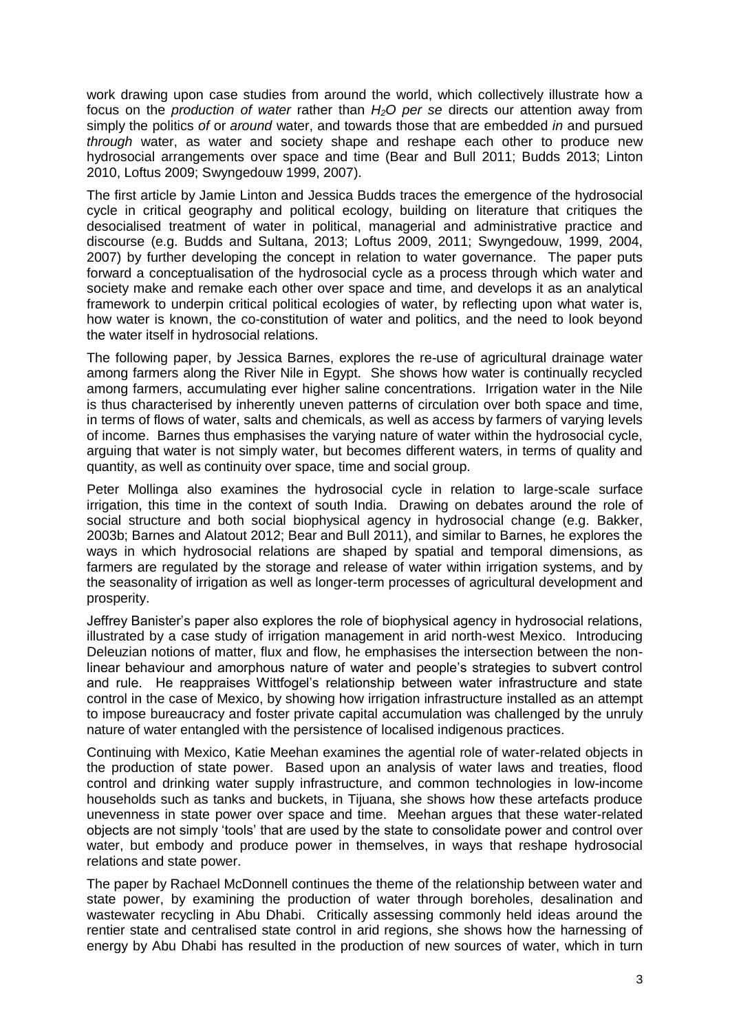work drawing upon case studies from around the world, which collectively illustrate how a focus on the *production of water* rather than *H2O per se* directs our attention away from simply the politics *of* or *around* water, and towards those that are embedded *in* and pursued *through* water, as water and society shape and reshape each other to produce new hydrosocial arrangements over space and time (Bear and Bull 2011; Budds 2013; Linton 2010, Loftus 2009; Swyngedouw 1999, 2007).

The first article by Jamie Linton and Jessica Budds traces the emergence of the hydrosocial cycle in critical geography and political ecology, building on literature that critiques the desocialised treatment of water in political, managerial and administrative practice and discourse (e.g. Budds and Sultana, 2013; Loftus 2009, 2011; Swyngedouw, 1999, 2004, 2007) by further developing the concept in relation to water governance. The paper puts forward a conceptualisation of the hydrosocial cycle as a process through which water and society make and remake each other over space and time, and develops it as an analytical framework to underpin critical political ecologies of water, by reflecting upon what water is, how water is known, the co-constitution of water and politics, and the need to look beyond the water itself in hydrosocial relations.

The following paper, by Jessica Barnes, explores the re-use of agricultural drainage water among farmers along the River Nile in Egypt. She shows how water is continually recycled among farmers, accumulating ever higher saline concentrations. Irrigation water in the Nile is thus characterised by inherently uneven patterns of circulation over both space and time, in terms of flows of water, salts and chemicals, as well as access by farmers of varying levels of income. Barnes thus emphasises the varying nature of water within the hydrosocial cycle, arguing that water is not simply water, but becomes different waters, in terms of quality and quantity, as well as continuity over space, time and social group.

Peter Mollinga also examines the hydrosocial cycle in relation to large-scale surface irrigation, this time in the context of south India. Drawing on debates around the role of social structure and both social biophysical agency in hydrosocial change (e.g. Bakker, 2003b; Barnes and Alatout 2012; Bear and Bull 2011), and similar to Barnes, he explores the ways in which hydrosocial relations are shaped by spatial and temporal dimensions, as farmers are regulated by the storage and release of water within irrigation systems, and by the seasonality of irrigation as well as longer-term processes of agricultural development and prosperity.

Jeffrey Banister's paper also explores the role of biophysical agency in hydrosocial relations, illustrated by a case study of irrigation management in arid north-west Mexico. Introducing Deleuzian notions of matter, flux and flow, he emphasises the intersection between the nonlinear behaviour and amorphous nature of water and people's strategies to subvert control and rule. He reappraises Wittfogel's relationship between water infrastructure and state control in the case of Mexico, by showing how irrigation infrastructure installed as an attempt to impose bureaucracy and foster private capital accumulation was challenged by the unruly nature of water entangled with the persistence of localised indigenous practices.

Continuing with Mexico, Katie Meehan examines the agential role of water-related objects in the production of state power. Based upon an analysis of water laws and treaties, flood control and drinking water supply infrastructure, and common technologies in low-income households such as tanks and buckets, in Tijuana, she shows how these artefacts produce unevenness in state power over space and time. Meehan argues that these water-related objects are not simply 'tools' that are used by the state to consolidate power and control over water, but embody and produce power in themselves, in ways that reshape hydrosocial relations and state power.

The paper by Rachael McDonnell continues the theme of the relationship between water and state power, by examining the production of water through boreholes, desalination and wastewater recycling in Abu Dhabi. Critically assessing commonly held ideas around the rentier state and centralised state control in arid regions, she shows how the harnessing of energy by Abu Dhabi has resulted in the production of new sources of water, which in turn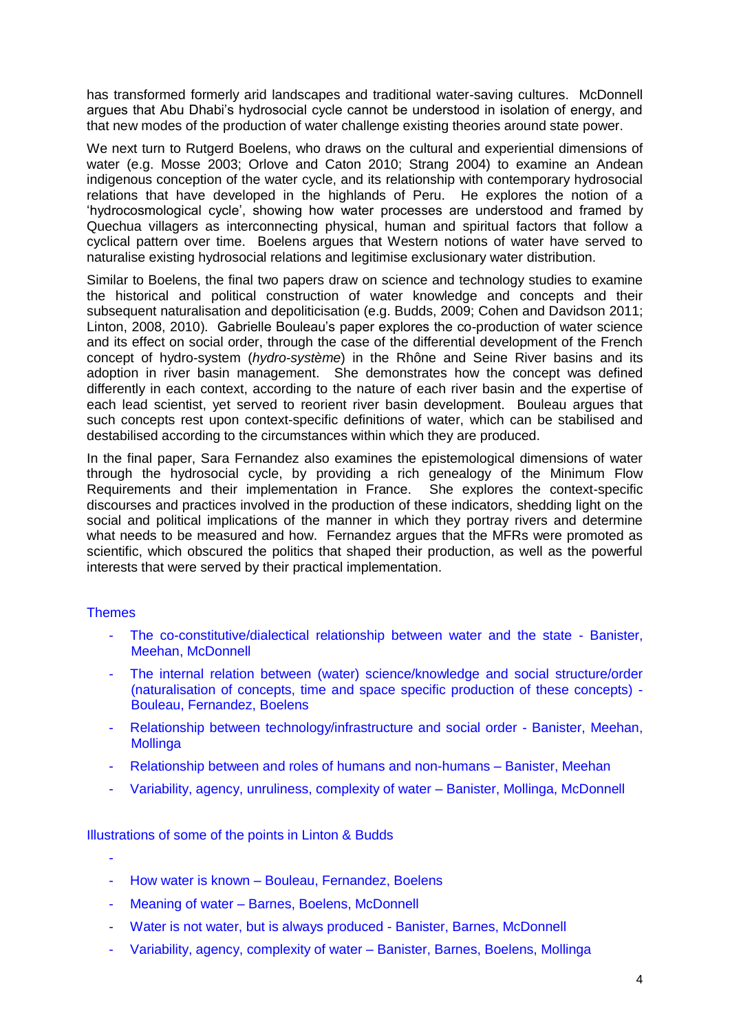has transformed formerly arid landscapes and traditional water-saving cultures. McDonnell argues that Abu Dhabi's hydrosocial cycle cannot be understood in isolation of energy, and that new modes of the production of water challenge existing theories around state power.

We next turn to Rutgerd Boelens, who draws on the cultural and experiential dimensions of water (e.g. Mosse 2003; Orlove and Caton 2010; Strang 2004) to examine an Andean indigenous conception of the water cycle, and its relationship with contemporary hydrosocial relations that have developed in the highlands of Peru. He explores the notion of a 'hydrocosmological cycle', showing how water processes are understood and framed by Quechua villagers as interconnecting physical, human and spiritual factors that follow a cyclical pattern over time. Boelens argues that Western notions of water have served to naturalise existing hydrosocial relations and legitimise exclusionary water distribution.

Similar to Boelens, the final two papers draw on science and technology studies to examine the historical and political construction of water knowledge and concepts and their subsequent naturalisation and depoliticisation (e.g. Budds, 2009; Cohen and Davidson 2011; Linton, 2008, 2010). Gabrielle Bouleau's paper explores the co-production of water science and its effect on social order, through the case of the differential development of the French concept of hydro-system (*hydro-système*) in the Rhône and Seine River basins and its adoption in river basin management. She demonstrates how the concept was defined differently in each context, according to the nature of each river basin and the expertise of each lead scientist, yet served to reorient river basin development. Bouleau argues that such concepts rest upon context-specific definitions of water, which can be stabilised and destabilised according to the circumstances within which they are produced.

In the final paper, Sara Fernandez also examines the epistemological dimensions of water through the hydrosocial cycle, by providing a rich genealogy of the Minimum Flow Requirements and their implementation in France. She explores the context-specific discourses and practices involved in the production of these indicators, shedding light on the social and political implications of the manner in which they portray rivers and determine what needs to be measured and how. Fernandez argues that the MFRs were promoted as scientific, which obscured the politics that shaped their production, as well as the powerful interests that were served by their practical implementation.

## **Themes**

- The co-constitutive/dialectical relationship between water and the state Banister, Meehan, McDonnell
- The internal relation between (water) science/knowledge and social structure/order (naturalisation of concepts, time and space specific production of these concepts) - Bouleau, Fernandez, Boelens
- Relationship between technology/infrastructure and social order Banister, Meehan, **Mollinga**
- Relationship between and roles of humans and non-humans Banister, Meehan
- Variability, agency, unruliness, complexity of water Banister, Mollinga, McDonnell

Illustrations of some of the points in Linton & Budds

- -
- How water is known Bouleau, Fernandez, Boelens
- Meaning of water Barnes, Boelens, McDonnell
- Water is not water, but is always produced Banister, Barnes, McDonnell
- Variability, agency, complexity of water Banister, Barnes, Boelens, Mollinga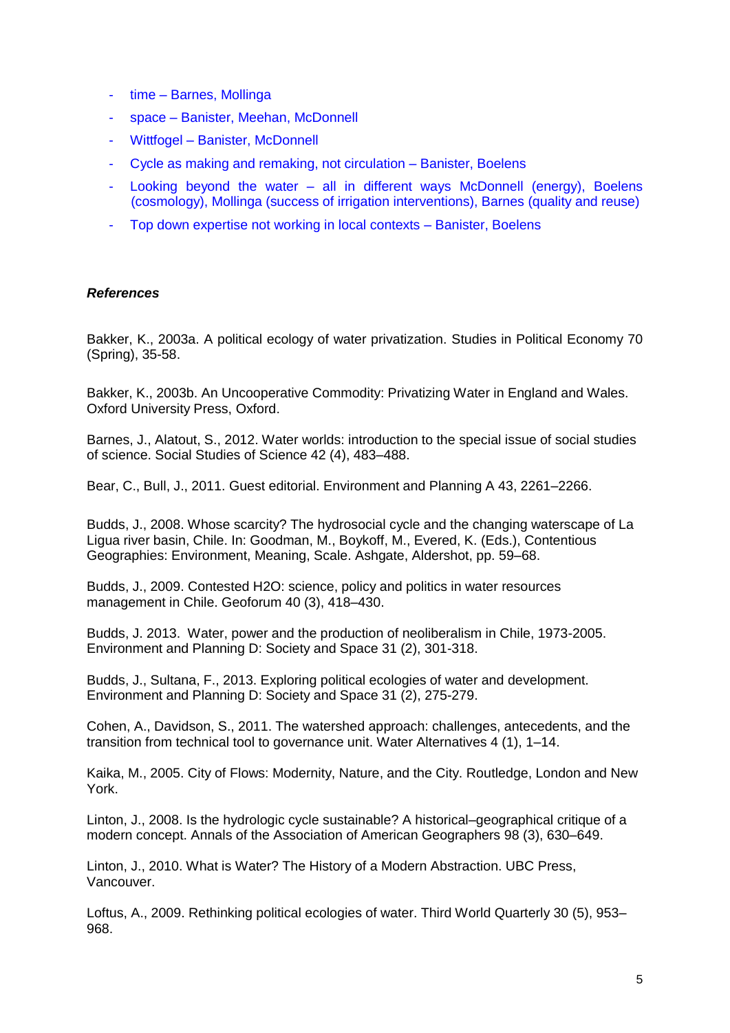- time Barnes, Mollinga
- space Banister, Meehan, McDonnell
- Wittfogel Banister, McDonnell
- Cycle as making and remaking, not circulation Banister, Boelens
- Looking beyond the water  $-$  all in different ways McDonnell (energy), Boelens (cosmology), Mollinga (success of irrigation interventions), Barnes (quality and reuse)
- Top down expertise not working in local contexts Banister, Boelens

## *References*

Bakker, K., 2003a. A political ecology of water privatization. Studies in Political Economy 70 (Spring), 35-58.

Bakker, K., 2003b. An Uncooperative Commodity: Privatizing Water in England and Wales. Oxford University Press, Oxford.

Barnes, J., Alatout, S., 2012. Water worlds: introduction to the special issue of social studies of science. Social Studies of Science 42 (4), 483–488.

Bear, C., Bull, J., 2011. Guest editorial. Environment and Planning A 43, 2261–2266.

Budds, J., 2008. Whose scarcity? The hydrosocial cycle and the changing waterscape of La Ligua river basin, Chile. In: Goodman, M., Boykoff, M., Evered, K. (Eds.), Contentious Geographies: Environment, Meaning, Scale. Ashgate, Aldershot, pp. 59–68.

Budds, J., 2009. Contested H2O: science, policy and politics in water resources management in Chile. Geoforum 40 (3), 418–430.

Budds, J. 2013. Water, power and the production of neoliberalism in Chile, 1973-2005. Environment and Planning D: Society and Space 31 (2), 301-318.

Budds, J., Sultana, F., 2013. Exploring political ecologies of water and development. Environment and Planning D: Society and Space 31 (2), 275-279.

Cohen, A., Davidson, S., 2011. The watershed approach: challenges, antecedents, and the transition from technical tool to governance unit. Water Alternatives 4 (1), 1–14.

Kaika, M., 2005. City of Flows: Modernity, Nature, and the City. Routledge, London and New York.

Linton, J., 2008. Is the hydrologic cycle sustainable? A historical–geographical critique of a modern concept. Annals of the Association of American Geographers 98 (3), 630–649.

Linton, J., 2010. What is Water? The History of a Modern Abstraction. UBC Press, Vancouver.

Loftus, A., 2009. Rethinking political ecologies of water. Third World Quarterly 30 (5), 953– 968.